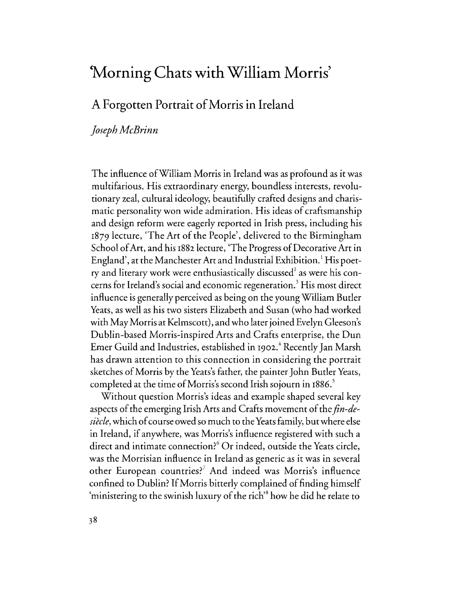# 'Morning Chats with William Morris'

## A Forgotten Portrait of Morris in Ireland

### *Joseph McBrinn*

The influence ofWilliam Morris in Ireland was as profound as it was multifarious. His extraordinary energy, boundless interests, revolutionary zeal, cultural ideology, beautifully crafted designs and charismatic personality won wide admiration. His ideas of craftsmanship and design reform were eagerly reported in Irish press, including his 1879 lecture, 'The Art of the People', delivered to the Birmingham School of Art, and his 1882 lecture, 'The Progress of Decorative Art in England', at the Manchester Art and Industrial Exhibition. 1 His poetry and literary work were enthusiastically discussed $^{\rm 2}$  as were his concerns for Ireland's social and economic regeneration. 3 His most direct influence is generally perceived as being on the young William Butler Yeats, as well as his two sisters Elizabeth and Susan (who had worked with May Morris at Kelmscott), and who later joined Evelyn Gleeson's Dublin-based Morris-inspired Arts and Crafts enterprise, the Dun Emer Guild and Industries, established in 1902.<sup>4</sup> Recently Jan Marsh has drawn attention to this connection in considering the portrait sketches of Morris by the Yeats's father, the painter John Butler Yeats, completed at the time of Morris's second Irish sojourn in 1886.

Without question Morris's ideas and example shaped several key aspects of the emerging Irish Arts and Crafts movement of the *fin-desiecle,* which of course owed so much to the Yeats family, but where else in Ireland, if anywhere, was Morris's influence registered with such a direct and intimate connection?<sup>6</sup> Or indeed, outside the Yeats circle, was the Morrisian influence in Ireland as generic as it was in several other European countries?<sup>7</sup> And indeed was Morris's influence confined to Dublin? If Morris bitterly complained of finding himself 'ministering to the swinish luxury of the rich'8 how he did he relate to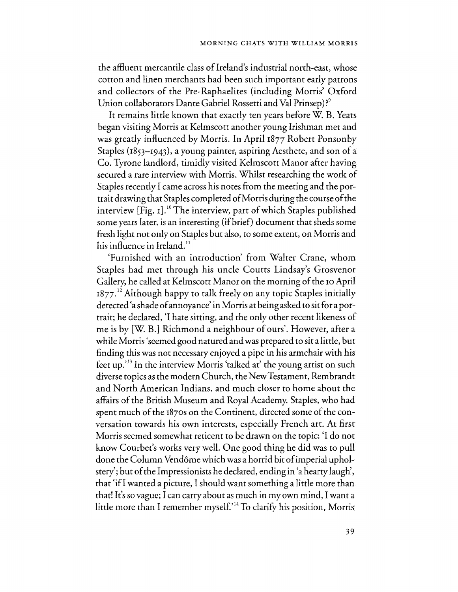the affluent mercantile class of Ireland's industrial north-east, whose cotton and linen merchants had been such important early patrons and collectors of the Pre-Raphaelites (including Morris' Oxford Union collaborators Dante Gabriel Rossetti and Val Prinsep)?<sup>9</sup>

It remains little known that exactly ten years before W. B. Yeats began visiting Morris at Kelmscott another young Irishman met and was greatly influenced by Morris. In April 1877 Robert Ponsonby Staples (1853-1943), a young painter, aspiring Aesthete, and son of a Co. Tyrone landlord, timidly visited Kelmscott Manor after having secured a rare interview with Morris. Whilst researching the work of Staples recently I came across his notes from the meeting and the portrait drawing that Staples completed of Morris during the course of the interview [Fig. 1].<sup>10</sup> The interview, part of which Staples published some years later, is an interesting (if brief) document that sheds some fresh light not only on Staples but also, to some extent, on Morris and his influence in Ireland.<sup>11</sup>

'Furnished with an introduction' from Walter Crane, whom Staples had met through his uncle Courts Lindsay's Grosvenor Gallery, he called at Kelmscott Manor on the morning of the 10 April 1877.<sup>12</sup> Although happy to talk freely on any topic Staples initially detected 'a shade of annoyance' in Morris at being asked to sit for a portrait; he declared, 'I hate sitting, and the only other recent likeness of me is by [W. B.] Richmond a neighbour of ours'. However, after a while Morris 'seemed good natured and was prepared to sit a little, but finding this was not necessary enjoyed a pipe in his armchair with his feet up.<sup> $13$ </sup> In the interview Morris 'talked at' the young artist on such diverse topics as the modern Church, the New Testament, Rembrandt and North American Indians, and much closer to home about the affairs of the British Museum and Royal Academy. Staples, who had spent much of the 1870s on the Continent, directed some of the conversation towards his own interests, especially French art. At first Morris seemed somewhat reticent to be drawn on the topic: 'I do not know Courbet's works very well. One good thing he did was to pull done the Column Vend6me which was a horrid bit of imperial upholstery'; but of the Impressionists he declared, ending in 'a hearty laugh', that 'if I wanted a picture, I should want something a little more than that! It's so vague; I can carry about as much in my own mind, I want a little more than I remember myself.<sup>314</sup> To clarify his position, Morris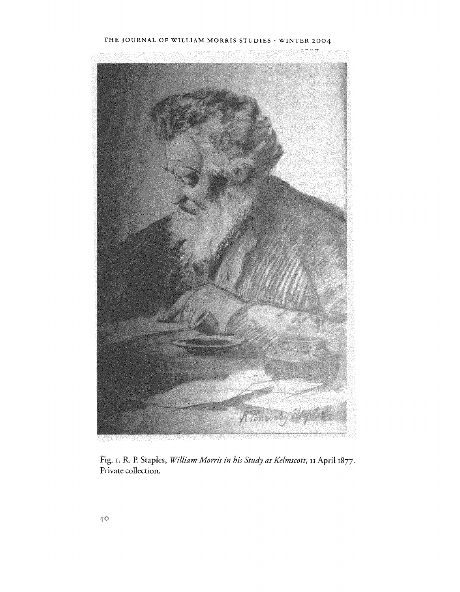#### THE JOURNAL OF WILLIAM MORRIS STUDIES · WINTER 2004



Fig. 1. R. P. Staples, *William Morris in his Study at Kelmscott,* **II April** 1877. Private collection.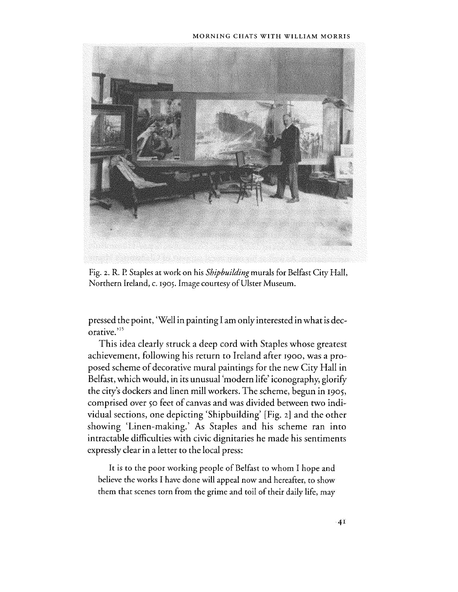#### MORNING CHATS WITH WILUAM MORRIS



Fig. 2. R. P. Staples at work on his *Shipbuilding* murals for Belfast City Hall, Northern Ireland, c. 1905. Image courtesy of Ulster Museum.

pressed the point, 'Well in painting I am only interested in what is decorative.'15

This idea clearly struck a deep cord with Staples whose greatest achievement, following his return to Ireland after 1900, was a proposed scheme of decorative mural paintings for the new City Hall in Belfast, which would, in its unusual 'modern life' iconography, glorify the city's dockers and linen mill workers. The scheme, begun in 1905, comprised over 50 *feet* of canvas and was divided between two individual sections, one depicting 'Shipbuilding' [Fig. 2] and the other showing 'Linen-making.' As Staples and his scheme ran into intractable difficulties with civic dignitaries he made his sentiments expressly clear in a letter to the local press:

It is to the poor working people of Belfast to whom I hope and believe the works I have done will appeal now and hereafter, to show them that scenes torn from the grime and toil of their daily life, may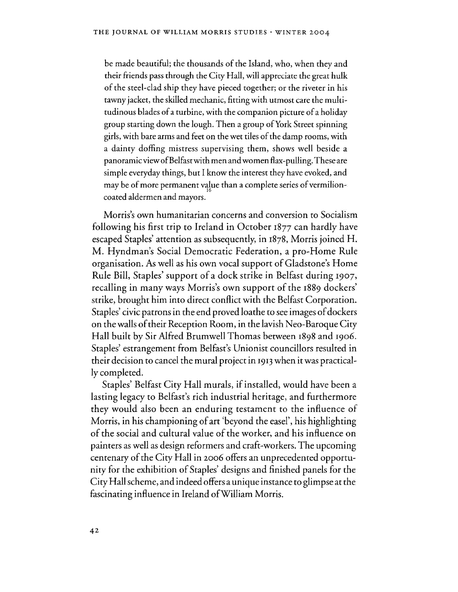be made beautiful; the thousands of the Island, who, when they and their friends pass through the City Hall, will appreciate the great hulk of the steel-clad ship they have pieced together; or the riveter in his tawny jacket, the skilled mechanic, fitting with utmost care the multitudinous blades of a turbine, with the companion picture of a holiday group starting down the lough. Then a group of York Street spinning girls, with bare arms and feet on the wet tiles of the damp rooms, with a dainty doffing mistress supervising them, shows well beside a panoramic view of Belfast with men and women flax-pulling. These are simple everyday things, but I know the interest they have evoked, and may be of more permanent value than a complete series of vermilioncoated aldermen and mayors.

Morris's own humanitarian concerns and conversion to Socialism following his first trip to Ireland in October 1877 can hardly have escaped Staples' attention as subsequently, in 1878, Morris joined H. M. Hyndman's Social Democratic Federation, a pro-Home Rule organisation. As well as his own vocal support of Gladstone's Home Rule Bill, Staples' support of a dock strike in Belfast during 1907, recalling in many ways Morris's own support of the 1889 dockers' strike, brought him into direct conflict with the Belfast Corporation. Staples' civic patrons in the end proved loathe to see images of dockers on the walls of their Reception Room, in the lavish Neo-Baroque City Hall built by Sir Alfred Brumwell Thomas between 1898 and 1906. Staples' estrangement from Belfast's Unionist councillors resulted in their decision to cancel the mural project in 1913 when it was practically completed.

Staples' Belfast City Hall murals, if installed, would have been a lasting legacy to Belfast's rich industrial heritage, and furthermore they would also been an enduring testament to the influence of Morris, in his championing of art 'beyond the easel', his highlighting of the social and cultural value of the worker, and his influence on painters as well as design reformers and craft-workers. The upcoming centenary of the City Hall in 2006 offers an unprecedented opportunity for the exhibition of Staples' designs and finished panels for the City Hall scheme, and indeed offers a unique instance to glimpse at the fascinating influence in Ireland ofWilliam Morris.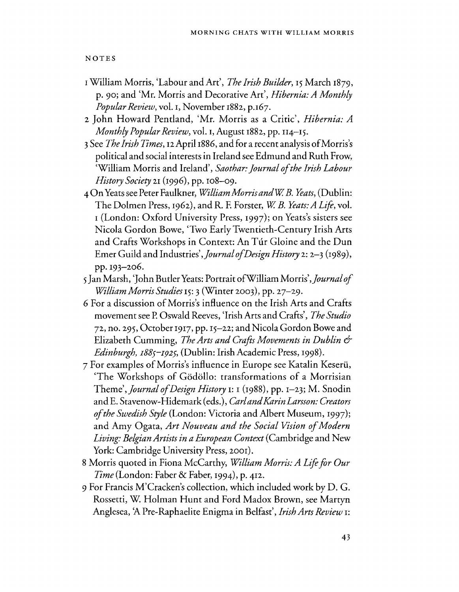NOTES

- <sup>I</sup>William Morris, 'Labour and An', *The Irish Builder,* 15 March 1879, p. 90; and 'Mr. Morris and Decorative Art', *Hibernia: A Monthly Popular Review,* vo!. I, November 1882, P.167.
- 2 John Howard Pentland, 'Mr. Morris as a Critic', *Hibernia: A Monthly Popular Review,* vol. I, August 1882, pp. II4-15.
- 3 See *The Irish Times,* I2April 1886, and for a recent analysis of Morris's political and social interests in Ireland see Edmund and Ruth Frow, 'William Morris and Ireland', *Saothar: Journal of the Irish Labour History Society* 21 (1996), pp. 108-09.
- 4 On Yeats see Peter Faulkner, *William Morris andW B. Yeats,* (Dublin: The Dolmen Press, 1962), and R. F. Forster, *W B. Yeats: A Life,* vol. <sup>I</sup>(London: Oxford University Press, 1997); on Yeats's sisters see Nicola Gordon Bowe, 'Two Early Twentieth-Century Irish Arts and Crafts Workshops in Context: An Túr Gloine and the Dun Emer Guild and Industries' *,Journal of Design History* 2: 2-3 (1989), pp. 193-206.
- 5 Jan Marsh, 'John Butler Yeats: Portrait ofWilliam Morris' *,Journal of WilliamMorris Studies* 15: 3 (Winter 2003), pp. 27-29.
- 6 For a discussion of Morris's influence on the Irish Arts and Crafts movement see P. Oswald Reeves, 'Irish Arts and Crafts', *The Studio*  72, no. 295, October 1917, pp. 15-22; and Nicola Gordon Bowe and Elizabeth Cumming, *The Arts and Crafts Movements in Dublin & Edinburgh, I88S-I92S,* (Dublin: Irish Academic Press, 1998).
- 7 For examples of Morris's influence in Europe see Katalin Keserii, 'The Workshops of Godollo: transformations of a Morrisian Theme', *Journal of Design History* 1: 1 (1988), pp. 1-23; M. Snodin and E. Stavenow-Hidemark (eds.), *Carl and Karin Larsson: Creators o/the Swedish Style* (London: Victoria and Albert Museum, 1997); and Amy Ogata, *Art Nouveau and the Social Vision of Modern Living: Belgian Artists in a European Context* (Cambridge and New York: Cambridge University Press, 2001).
- 8 Morris quoted in Fiona McCarthy, *William Morris: A Life for Our Time* (London: Faber & Faber, 1994), p. 412.
- 9 For Francis M'Cracken's collection, which included work by D. G. Rossetti, W. Holman Hunt and Ford Madox Brown, see Martyn Anglesea, 'A Pre-Raphaelite Enigma in Belfast', *Irish Arts Review* 1: